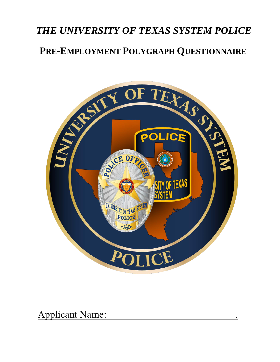# *THE UNIVERSITY OF TEXAS SYSTEM POLICE*  **PRE-EMPLOYMENT POLYGRAPH QUESTIONNAIRE**



Applicant Name: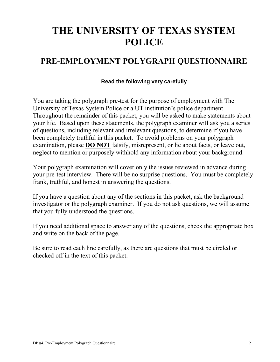# **THE UNIVERSITY OF TEXAS SYSTEM POLICE**

## **PRE-EMPLOYMENT POLYGRAPH QUESTIONNAIRE**

#### **Read the following very carefully**

You are taking the polygraph pre-test for the purpose of employment with The University of Texas System Police or a UT institution's police department. Throughout the remainder of this packet, you will be asked to make statements about your life. Based upon these statements, the polygraph examiner will ask you a series of questions, including relevant and irrelevant questions, to determine if you have been completely truthful in this packet. To avoid problems on your polygraph examination, please **DO NOT** falsify, misrepresent, or lie about facts, or leave out, neglect to mention or purposely withhold any information about your background.

Your polygraph examination will cover only the issues reviewed in advance during your pre-test interview. There will be no surprise questions. You must be completely frank, truthful, and honest in answering the questions.

If you have a question about any of the sections in this packet, ask the background investigator or the polygraph examiner. If you do not ask questions, we will assume that you fully understood the questions.

If you need additional space to answer any of the questions, check the appropriate box and write on the back of the page.

Be sure to read each line carefully, as there are questions that must be circled or checked off in the text of this packet.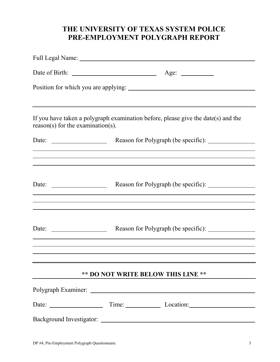## **THE UNIVERSITY OF TEXAS SYSTEM POLICE PRE-EMPLOYMENT POLYGRAPH REPORT**

|                                                          | Age: $\qquad \qquad$                                                                                                                                   |
|----------------------------------------------------------|--------------------------------------------------------------------------------------------------------------------------------------------------------|
|                                                          |                                                                                                                                                        |
|                                                          |                                                                                                                                                        |
| $reason(s)$ for the examination(s).                      | If you have taken a polygraph examination before, please give the date(s) and the                                                                      |
|                                                          | <u> 1989 - Andrea Barbara, poeta espainiar político e a contrar a contrar a contrar a contrar a contrar a contra</u>                                   |
|                                                          | ,我们也不会有什么。""我们的人,我们也不会有什么?""我们的人,我们也不会有什么?""我们的人,我们也不会有什么?""我们的人,我们也不会有什么?""我们的人                                                                       |
|                                                          |                                                                                                                                                        |
|                                                          | Date: <u>______________________</u> Reason for Polygraph (be specific): _______________<br><u> 1989 - Johann Stoff, amerikansk politiker (d. 1989)</u> |
|                                                          | <u> 1989 - Andrea Santa Andrea Andrea Santa Andrea Andrea Andrea Andrea Andrea Andrea Andrea Andrea Andrea Andre</u>                                   |
| Date: $\frac{1}{\sqrt{1-\frac{1}{2}} \cdot \frac{1}{2}}$ |                                                                                                                                                        |
|                                                          | ,我们也不会有什么。""我们的人,我们也不会有什么?""我们的人,我们也不会有什么?""我们的人,我们也不会有什么?""我们的人,我们也不会有什么?""我们的人                                                                       |
|                                                          |                                                                                                                                                        |
|                                                          | <b>** DO NOT WRITE BELOW THIS LINE **</b>                                                                                                              |
|                                                          |                                                                                                                                                        |
|                                                          |                                                                                                                                                        |
|                                                          |                                                                                                                                                        |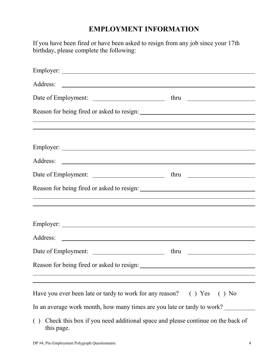## **EMPLOYMENT INFORMATION**

If you have been fired or have been asked to resign from any job since your 17th birthday, please complete the following:

| ,我们也不会有什么。""我们的人,我们也不会有什么?""我们的人,我们也不会有什么?""我们的人,我们也不会有什么?""我们的人,我们也不会有什么?""我们的人                    |  |
|-----------------------------------------------------------------------------------------------------|--|
|                                                                                                     |  |
|                                                                                                     |  |
|                                                                                                     |  |
|                                                                                                     |  |
| <u> 1989 - Johann Stoff, Amerikaansk politiker (* 1908)</u>                                         |  |
|                                                                                                     |  |
|                                                                                                     |  |
|                                                                                                     |  |
| Have you ever been late or tardy to work for any reason? () Yes () No                               |  |
| In an average work month, how many times are you late or tardy to work?                             |  |
| Check this box if you need additional space and please continue on the back of<br>( )<br>this page. |  |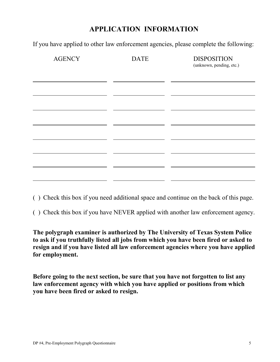## **APPLICATION INFORMATION**

If you have applied to other law enforcement agencies, please complete the following:

| <b>AGENCY</b> | <b>DATE</b> | <b>DISPOSITION</b><br>(unknown, pending, etc.) |
|---------------|-------------|------------------------------------------------|
|               |             |                                                |
|               |             |                                                |
|               |             |                                                |
|               |             |                                                |
|               |             |                                                |
|               |             |                                                |

- ( ) Check this box if you need additional space and continue on the back of this page.
- ( ) Check this box if you have NEVER applied with another law enforcement agency.

**The polygraph examiner is authorized by The University of Texas System Police to ask if you truthfully listed all jobs from which you have been fired or asked to resign and if you have listed all law enforcement agencies where you have applied for employment.**

**Before going to the next section, be sure that you have not forgotten to list any law enforcement agency with which you have applied or positions from which you have been fired or asked to resign.**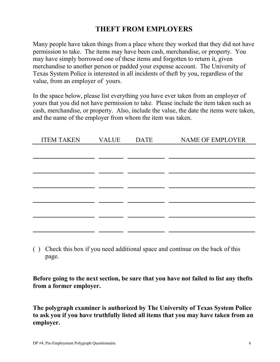## **THEFT FROM EMPLOYERS**

Many people have taken things from a place where they worked that they did not have permission to take. The items may have been cash, merchandise, or property. You may have simply borrowed one of these items and forgotten to return it, given merchandise to another person or padded your expense account. The University of Texas System Police is interested in all incidents of theft by you, regardless of the value, from an employer of yours.

In the space below, please list everything you have ever taken from an employer of yours that you did not have permission to take. Please include the item taken such as cash, merchandise, or property. Also, include the value, the date the items were taken, and the name of the employer from whom the item was taken.

| <b>ITEM TAKEN</b> | <b>VALUE</b> | <b>DATE</b> | <b>NAME OF EMPLOYER</b> |
|-------------------|--------------|-------------|-------------------------|
|                   |              |             |                         |
|                   |              |             |                         |
|                   |              |             |                         |
|                   |              |             |                         |
|                   |              |             |                         |
|                   |              |             |                         |
|                   |              |             |                         |
|                   |              |             |                         |
|                   |              |             |                         |

( ) Check this box if you need additional space and continue on the back of this page.

**Before going to the next section, be sure that you have not failed to list any thefts from a former employer.**

**The polygraph examiner is authorized by The University of Texas System Police to ask you if you have truthfully listed all items that you may have taken from an employer.**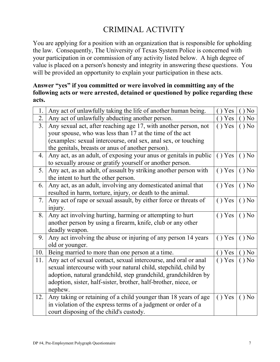# CRIMINAL ACTIVITY

You are applying for a position with an organization that is responsible for upholding the law. Consequently, The University of Texas System Police is concerned with your participation in or commission of any activity listed below. A high degree of value is placed on a person's honesty and integrity in answering these questions. You will be provided an opportunity to explain your participation in these acts.

#### **Answer "yes" if you committed or were involved in committing any of the following acts or were arrested, detained or questioned by police regarding these acts.**

| 1.             | Any act of unlawfully taking the life of another human being.     | Yes    | N <sub>0</sub> |
|----------------|-------------------------------------------------------------------|--------|----------------|
| 2.             | Any act of unlawfully abducting another person.                   | Yes    | N <sub>0</sub> |
| 3 <sub>1</sub> | Any sexual act, after reaching age 17, with another person, not   | () Yes | $()$ No        |
|                | your spouse, who was less than 17 at the time of the act          |        |                |
|                | (examples: sexual intercourse, oral sex, anal sex, or touching    |        |                |
|                | the genitals, breasts or anus of another person).                 |        |                |
| 4.             | Any act, as an adult, of exposing your anus or genitals in public | () Yes | $()$ No        |
|                | to sexually arouse or gratify yourself or another person.         |        |                |
| 5.             | Any act, as an adult, of assault by striking another person with  | () Yes | $()$ No        |
|                | the intent to hurt the other person.                              |        |                |
| 6.             | Any act, as an adult, involving any domesticated animal that      | () Yes | $()$ No        |
|                | resulted in harm, torture, injury, or death to the animal.        |        |                |
| 7.             | Any act of rape or sexual assault, by either force or threats of  | () Yes | $()$ No        |
|                | injury.                                                           |        |                |
| 8.             | Any act involving hurting, harming or attempting to hurt          | () Yes | $()$ No        |
|                | another person by using a firearm, knife, club or any other       |        |                |
|                | deadly weapon.                                                    |        |                |
| 9.             | Any act involving the abuse or injuring of any person 14 years    | () Yes | $()$ No        |
|                | old or younger.                                                   |        |                |
| 10.            | Being married to more than one person at a time.                  | Yes    | N <sub>0</sub> |
| 11.            | Any act of sexual contact, sexual intercourse, and oral or anal   | () Yes | $()$ No        |
|                | sexual intercourse with your natural child, stepchild, child by   |        |                |
|                | adoption, natural grandchild, step grandchild, grandchildren by   |        |                |
|                | adoption, sister, half-sister, brother, half-brother, niece, or   |        |                |
|                | nephew.                                                           |        |                |
| 12.            | Any taking or retaining of a child younger than 18 years of age   | () Yes | N <sub>0</sub> |
|                | in violation of the express terms of a judgment or order of a     |        |                |
|                | court disposing of the child's custody.                           |        |                |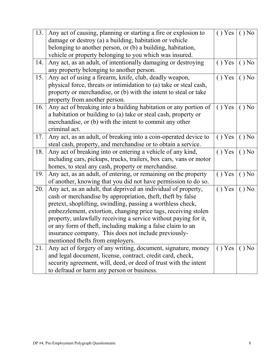| 13. | Any act of causing, planning or starting a fire or explosion to    | () Yes | $\hat{N}$ ) No |
|-----|--------------------------------------------------------------------|--------|----------------|
|     | damage or destroy (a) a building, habitation or vehicle            |        |                |
|     | belonging to another person, or (b) a building, habitation,        |        |                |
|     | vehicle or property belonging to you which was insured.            |        |                |
| 14. | Any act, as an adult, of intentionally damaging or destroying      | () Yes | $()$ No        |
|     | any property belonging to another person.                          |        |                |
| 15. | Any act of using a firearm, knife, club, deadly weapon,            | () Yes | $()$ No        |
|     | physical force, threats or intimidation to (a) take or steal cash, |        |                |
|     | property or merchandise, or (b) with the intent to steal or take   |        |                |
|     | property from another person.                                      |        |                |
| 16. | Any act of breaking into a building habitation or any portion of   | () Yes | $()$ No        |
|     | a habitation or building to (a) take or steal cash, property or    |        |                |
|     | merchandise, or (b) with the intent to commit any other            |        |                |
|     | criminal act.                                                      |        |                |
| 17. | Any act, as an adult, of breaking into a coin-operated device to   | () Yes | $()$ No        |
|     | steal cash, property, and merchandise or to obtain a service.      |        |                |
| 18. | Any act of breaking into or entering a vehicle of any kind,        | () Yes | $()$ No        |
|     | including cars, pickups, trucks, trailers, box cars, vans or motor |        |                |
|     | homes, to steal any cash, property or merchandise.                 |        |                |
| 19. | Any act, as an adult, of entering, or remaining on the property    | Yes    | $()$ No        |
|     | of another, knowing that you did not have permission to do so.     |        |                |
| 20. | Any act, as an adult, that deprived an individual of property,     | () Yes | $()$ No        |
|     | cash or merchandise by appropriation, theft, theft by false        |        |                |
|     | pretext, shoplifting, swindling, passing a worthless check,        |        |                |
|     | embezzlement, extortion, changing price tags, receiving stolen     |        |                |
|     | property, unlawfully receiving a service without paying for it,    |        |                |
|     | or any form of theft, including making a false claim to an         |        |                |
|     | insurance company. This does not include previously-               |        |                |
|     | mentioned thefts from employers.                                   |        |                |
| 21. | Any act of forgery of any writing, document, signature, money      | () Yes | $()$ No        |
|     | and legal document, license, contract, credit card, check,         |        |                |
|     | security agreement, will, deed, or deed of trust with the intent   |        |                |
|     | to defraud or harm any person or business.                         |        |                |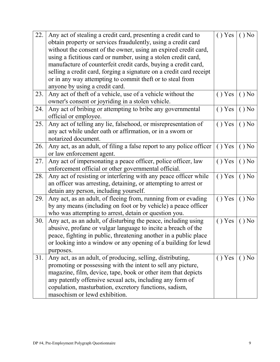| 22. | Any act of stealing a credit card, presenting a credit card to       | () Yes   | $()$ No |
|-----|----------------------------------------------------------------------|----------|---------|
|     | obtain property or services fraudulently, using a credit card        |          |         |
|     | without the consent of the owner, using an expired credit card,      |          |         |
|     | using a fictitious card or number, using a stolen credit card,       |          |         |
|     | manufacture of counterfeit credit cards, buying a credit card,       |          |         |
|     | selling a credit card, forging a signature on a credit card receipt  |          |         |
|     | or in any way attempting to commit theft or to steal from            |          |         |
|     | anyone by using a credit card.                                       |          |         |
| 23. | Any act of theft of a vehicle, use of a vehicle without the          | () Yes   | $()$ No |
|     | owner's consent or joyriding in a stolen vehicle.                    |          |         |
| 24. | Any act of bribing or attempting to bribe any governmental           | () Yes   | $()$ No |
|     | official or employee.                                                |          |         |
| 25. | Any act of telling any lie, falsehood, or misrepresentation of       | () Yes   | $()$ No |
|     | any act while under oath or affirmation, or in a sworn or            |          |         |
|     | notarized document.                                                  |          |         |
| 26. | Any act, as an adult, of filing a false report to any police officer | () Yes   | $()$ No |
|     | or law enforcement agent.                                            |          |         |
| 27. | Any act of impersonating a peace officer, police officer, law        | () Yes   | $()$ No |
|     | enforcement official or other governmental official.                 |          |         |
| 28. | Any act of resisting or interfering with any peace officer while     | () Yes   | $()$ No |
|     | an officer was arresting, detaining, or attempting to arrest or      |          |         |
|     | detain any person, including yourself.                               |          |         |
| 29. | Any act, as an adult, of fleeing from, running from or evading       | () Yes   | $()$ No |
|     | by any means (including on foot or by vehicle) a peace officer       |          |         |
|     | who was attempting to arrest, detain or question you.                |          |         |
| 30. | Any act, as an adult, of disturbing the peace, including using       | () Yes   | $()$ No |
|     | abusive, profane or vulgar language to incite a breach of the        |          |         |
|     | peace, fighting in public, threatening another in a public place     |          |         |
|     | or looking into a window or any opening of a building for lewd       |          |         |
|     | purposes.                                                            |          |         |
| 31. | Any act, as an adult, of producing, selling, distributing,           | $()$ Yes | $()$ No |
|     | promoting or possessing with the intent to sell any picture,         |          |         |
|     | magazine, film, device, tape, book or other item that depicts        |          |         |
|     | any patently offensive sexual acts, including any form of            |          |         |
|     | copulation, masturbation, excretory functions, sadism,               |          |         |
|     | masochism or lewd exhibition.                                        |          |         |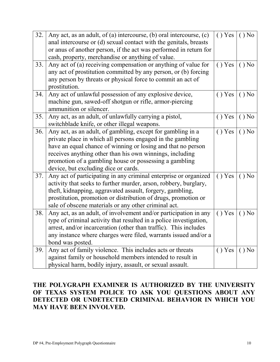| 32. | Any act, as an adult, of (a) intercourse, (b) oral intercourse, (c)<br>anal intercourse or (d) sexual contact with the genitals, breasts                                                                                                                                                                                                                | () Yes | $()$ No |
|-----|---------------------------------------------------------------------------------------------------------------------------------------------------------------------------------------------------------------------------------------------------------------------------------------------------------------------------------------------------------|--------|---------|
|     | or anus of another person, if the act was performed in return for<br>cash, property, merchandise or anything of value.                                                                                                                                                                                                                                  |        |         |
| 33. | Any act of (a) receiving compensation or anything of value for<br>any act of prostitution committed by any person, or (b) forcing<br>any person by threats or physical force to commit an act of<br>prostitution.                                                                                                                                       | () Yes | $()$ No |
| 34. | Any act of unlawful possession of any explosive device,<br>machine gun, sawed-off shotgun or rifle, armor-piercing<br>ammunition or silencer.                                                                                                                                                                                                           | () Yes | $()$ No |
| 35. | Any act, as an adult, of unlawfully carrying a pistol,<br>switchblade knife, or other illegal weapons.                                                                                                                                                                                                                                                  | () Yes | $()$ No |
| 36. | Any act, as an adult, of gambling, except for gambling in a<br>private place in which all persons engaged in the gambling<br>have an equal chance of winning or losing and that no person<br>receives anything other than his own winnings, including<br>promotion of a gambling house or possessing a gambling<br>device, but excluding dice or cards. | () Yes | $()$ No |
| 37. | Any act of participating in any criminal enterprise or organized<br>activity that seeks to further murder, arson, robbery, burglary,<br>theft, kidnapping, aggravated assault, forgery, gambling,<br>prostitution, promotion or distribution of drugs, promotion or<br>sale of obscene materials or any other criminal act.                             | () Yes | $()$ No |
| 38. | Any act, as an adult, of involvement and/or participation in any<br>type of criminal activity that resulted in a police investigation,<br>arrest, and/or incarceration (other than traffic). This includes<br>any instance where charges were filed, warrants issued and/or a<br>bond was posted.                                                       | () Yes | $()$ No |
| 39. | Any act of family violence. This includes acts or threats<br>against family or household members intended to result in<br>physical harm, bodily injury, assault, or sexual assault.                                                                                                                                                                     | () Yes | $()$ No |

#### **THE POLYGRAPH EXAMINER IS AUTHORIZED BY THE UNIVERSITY OF TEXAS SYSTEM POLICE TO ASK YOU QUESTIONS ABOUT ANY DETECTED OR UNDETECTED CRIMINAL BEHAVIOR IN WHICH YOU MAY HAVE BEEN INVOLVED.**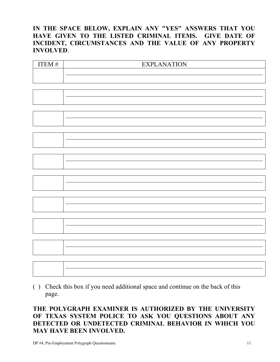#### **IN THE SPACE BELOW, EXPLAIN ANY "YES" ANSWERS THAT YOU HAVE GIVEN TO THE LISTED CRIMINAL ITEMS. GIVE DATE OF INCIDENT, CIRCUMSTANCES AND THE VALUE OF ANY PROPERTY INVOLVED**.

| <b>ITEM#</b> | <b>EXPLANATION</b> |
|--------------|--------------------|
|              |                    |
|              |                    |
|              |                    |
|              |                    |
|              |                    |
|              |                    |
|              |                    |
|              |                    |
|              |                    |
|              |                    |
|              |                    |
|              |                    |
|              |                    |
|              |                    |
|              |                    |
|              |                    |
|              |                    |
|              |                    |
|              |                    |
|              |                    |
|              |                    |
|              |                    |

( ) Check this box if you need additional space and continue on the back of this page.

#### **THE POLYGRAPH EXAMINER IS AUTHORIZED BY THE UNIVERSITY OF TEXAS SYSTEM POLICE TO ASK YOU QUESTIONS ABOUT ANY DETECTED OR UNDETECTED CRIMINAL BEHAVIOR IN WHICH YOU MAY HAVE BEEN INVOLVED.**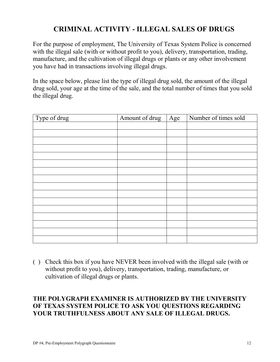## **CRIMINAL ACTIVITY - ILLEGAL SALES OF DRUGS**

For the purpose of employment, The University of Texas System Police is concerned with the illegal sale (with or without profit to you), delivery, transportation, trading, manufacture, and the cultivation of illegal drugs or plants or any other involvement you have had in transactions involving illegal drugs.

In the space below, please list the type of illegal drug sold, the amount of the illegal drug sold, your age at the time of the sale, and the total number of times that you sold the illegal drug.

| Type of drug | Amount of drug | Age | Number of times sold |
|--------------|----------------|-----|----------------------|
|              |                |     |                      |
|              |                |     |                      |
|              |                |     |                      |
|              |                |     |                      |
|              |                |     |                      |
|              |                |     |                      |
|              |                |     |                      |
|              |                |     |                      |
|              |                |     |                      |
|              |                |     |                      |
|              |                |     |                      |
|              |                |     |                      |
|              |                |     |                      |
|              |                |     |                      |
|              |                |     |                      |
|              |                |     |                      |

( ) Check this box if you have NEVER been involved with the illegal sale (with or without profit to you), delivery, transportation, trading, manufacture, or cultivation of illegal drugs or plants.

#### **THE POLYGRAPH EXAMINER IS AUTHORIZED BY THE UNIVERSITY OF TEXAS SYSTEM POLICE TO ASK YOU QUESTIONS REGARDING YOUR TRUTHFULNESS ABOUT ANY SALE OF ILLEGAL DRUGS.**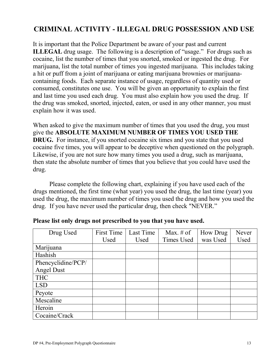## **CRIMINAL ACTIVITY - ILLEGAL DRUG POSSESSION AND USE**

It is important that the Police Department be aware of your past and current **ILLEGAL** drug usage. The following is a description of "usage." For drugs such as cocaine, list the number of times that you snorted, smoked or ingested the drug. For marijuana, list the total number of times you ingested marijuana. This includes taking a hit or puff from a joint of marijuana or eating marijuana brownies or marijuanacontaining foods. Each separate instance of usage, regardless of quantity used or consumed, constitutes one use. You will be given an opportunity to explain the first and last time you used each drug. You must also explain how you used the drug. If the drug was smoked, snorted, injected, eaten, or used in any other manner, you must explain how it was used.

When asked to give the maximum number of times that you used the drug, you must give the **ABSOLUTE MAXIMUM NUMBER OF TIMES YOU USED THE DRUG.** For instance, if you snorted cocaine six times and you state that you used cocaine five times, you will appear to be deceptive when questioned on the polygraph. Likewise, if you are not sure how many times you used a drug, such as marijuana, then state the absolute number of times that you believe that you could have used the drug.

Please complete the following chart, explaining if you have used each of the drugs mentioned, the first time (what year) you used the drug, the last time (year) you used the drug, the maximum number of times you used the drug and how you used the drug. If you have never used the particular drug, then check "NEVER."

| Drug Used          | First Time | Last Time | Max. $#$ of | How Drug | Never |
|--------------------|------------|-----------|-------------|----------|-------|
|                    | Used       | Used      | Times Used  | was Used | Used  |
| Marijuana          |            |           |             |          |       |
| Hashish            |            |           |             |          |       |
| Phencyclidine/PCP/ |            |           |             |          |       |
| <b>Angel Dust</b>  |            |           |             |          |       |
| <b>THC</b>         |            |           |             |          |       |
| <b>LSD</b>         |            |           |             |          |       |
| Peyote             |            |           |             |          |       |
| Mescaline          |            |           |             |          |       |
| Heroin             |            |           |             |          |       |
| Cocaine/Crack      |            |           |             |          |       |

#### **Please list only drugs not prescribed to you that you have used.**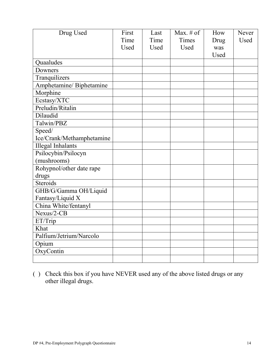| Drug Used                 | First | Last | Max. $#$ of | How  | Never |
|---------------------------|-------|------|-------------|------|-------|
|                           | Time  | Time | Times       | Drug | Used  |
|                           | Used  | Used | Used        | was  |       |
|                           |       |      |             | Used |       |
| <b>Quaaludes</b>          |       |      |             |      |       |
| Downers                   |       |      |             |      |       |
| Tranquilizers             |       |      |             |      |       |
| Amphetamine/ Biphetamine  |       |      |             |      |       |
| Morphine                  |       |      |             |      |       |
| Ecstasy/XTC               |       |      |             |      |       |
| Preludin/Ritalin          |       |      |             |      |       |
| Dilaudid                  |       |      |             |      |       |
| Talwin/PBZ                |       |      |             |      |       |
| Speed/                    |       |      |             |      |       |
| Ice/Crank/Methamphetamine |       |      |             |      |       |
| <b>Illegal Inhalants</b>  |       |      |             |      |       |
| Psilocybin/Psilocyn       |       |      |             |      |       |
| (mushrooms)               |       |      |             |      |       |
| Rohypnol/other date rape  |       |      |             |      |       |
| drugs                     |       |      |             |      |       |
| Steroids                  |       |      |             |      |       |
| GHB/G/Gamma OH/Liquid     |       |      |             |      |       |
| Fantasy/Liquid X          |       |      |             |      |       |
| China White/fentanyl      |       |      |             |      |       |
| Nexus/2-CB                |       |      |             |      |       |
| ET/Trip                   |       |      |             |      |       |
| Khat                      |       |      |             |      |       |
| Palfium/Jetrium/Narcolo   |       |      |             |      |       |
| Opium                     |       |      |             |      |       |
| OxyContin                 |       |      |             |      |       |
|                           |       |      |             |      |       |

( ) Check this box if you have NEVER used any of the above listed drugs or any other illegal drugs.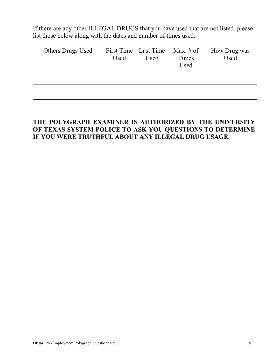If there are any other ILLEGAL DRUGS that you have used that are not listed, please list those below along with the dates and number of times used.

| Others Drugs Used |      | First Time   Last Time | Max. $\#$ of | How Drug was |
|-------------------|------|------------------------|--------------|--------------|
|                   | Used | Used                   | Times        | Used         |
|                   |      |                        | Used         |              |
|                   |      |                        |              |              |
|                   |      |                        |              |              |
|                   |      |                        |              |              |
|                   |      |                        |              |              |
|                   |      |                        |              |              |

#### **THE POLYGRAPH EXAMINER IS AUTHORIZED BY THE UNIVERSITY OF TEXAS SYSTEM POLICE TO ASK YOU QUESTIONS TO DETERMINE IF YOU WERE TRUTHFUL ABOUT ANY ILLEGAL DRUG USAGE.**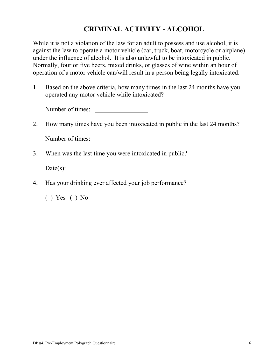## **CRIMINAL ACTIVITY - ALCOHOL**

While it is not a violation of the law for an adult to possess and use alcohol, it is against the law to operate a motor vehicle (car, truck, boat, motorcycle or airplane) under the influence of alcohol. It is also unlawful to be intoxicated in public. Normally, four or five beers, mixed drinks, or glasses of wine within an hour of operation of a motor vehicle can/will result in a person being legally intoxicated.

1. Based on the above criteria, how many times in the last 24 months have you operated any motor vehicle while intoxicated?

Number of times:

2. How many times have you been intoxicated in public in the last 24 months?

Number of times:

3. When was the last time you were intoxicated in public?

Date(s):

4. Has your drinking ever affected your job performance?

( ) Yes ( ) No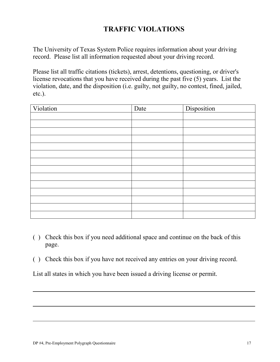## **TRAFFIC VIOLATIONS**

The University of Texas System Police requires information about your driving record. Please list all information requested about your driving record.

Please list all traffic citations (tickets), arrest, detentions, questioning, or driver's license revocations that you have received during the past five (5) years. List the violation, date, and the disposition (i.e. guilty, not guilty, no contest, fined, jailed, etc.).

| Violation | Date | Disposition |
|-----------|------|-------------|
|           |      |             |
|           |      |             |
|           |      |             |
|           |      |             |
|           |      |             |
|           |      |             |
|           |      |             |
|           |      |             |
|           |      |             |
|           |      |             |
|           |      |             |
|           |      |             |
|           |      |             |
|           |      |             |

- ( ) Check this box if you need additional space and continue on the back of this page.
- ( ) Check this box if you have not received any entries on your driving record.

List all states in which you have been issued a driving license or permit.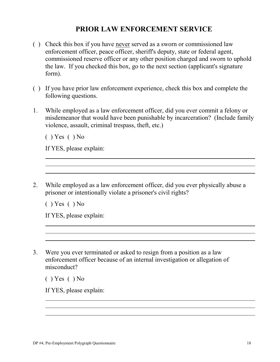### **PRIOR LAW ENFORCEMENT SERVICE**

- ( ) Check this box if you have never served as a sworn or commissioned law enforcement officer, peace officer, sheriff's deputy, state or federal agent, commissioned reserve officer or any other position charged and sworn to uphold the law. If you checked this box, go to the next section (applicant's signature form).
- ( ) If you have prior law enforcement experience, check this box and complete the following questions.
- 1. While employed as a law enforcement officer, did you ever commit a felony or misdemeanor that would have been punishable by incarceration? (Include family violence, assault, criminal trespass, theft, etc.)

 $($  ) Yes  $($   $)$  No

If YES, please explain:

2. While employed as a law enforcement officer, did you ever physically abuse a prisoner or intentionally violate a prisoner's civil rights?

 $($  ) Yes  $($   $)$  No

If YES, please explain:

3. Were you ever terminated or asked to resign from a position as a law enforcement officer because of an internal investigation or allegation of misconduct?

 $($  ) Yes  $($   $)$  No

If YES, please explain: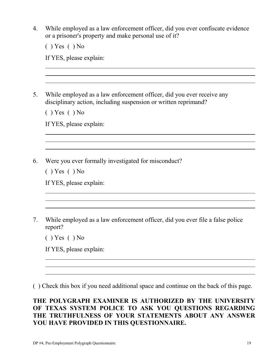4. While employed as a law enforcement officer, did you ever confiscate evidence or a prisoner's property and make personal use of it?

 $($  ) Yes  $($   $)$  No

If YES, please explain:

5. While employed as a law enforcement officer, did you ever receive any disciplinary action, including suspension or written reprimand?

 $( )$  Yes  $( )$  No

If YES, please explain:

6. Were you ever formally investigated for misconduct?

 $( )$  Yes  $( )$  No

If YES, please explain:

7. While employed as a law enforcement officer, did you ever file a false police report?

 $($  ) Yes  $($   $)$  No

If YES, please explain:

( ) Check this box if you need additional space and continue on the back of this page.

#### **THE POLYGRAPH EXAMINER IS AUTHORIZED BY THE UNIVERSITY OF TEXAS SYSTEM POLICE TO ASK YOU QUESTIONS REGARDING THE TRUTHFULNESS OF YOUR STATEMENTS ABOUT ANY ANSWER YOU HAVE PROVIDED IN THIS QUESTIONNAIRE.**